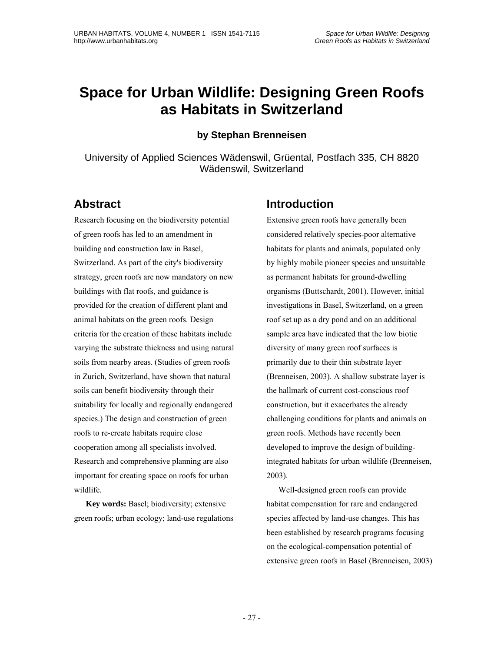# **Space for Urban Wildlife: Designing Green Roofs as Habitats in Switzerland**

**by Stephan Brenneisen** 

University of Applied Sciences Wädenswil, Grüental, Postfach 335, CH 8820 Wädenswil, Switzerland

#### **Abstract**

Research focusing on the biodiversity potential of green roofs has led to an amendment in building and construction law in Basel, Switzerland. As part of the city's biodiversity strategy, green roofs are now mandatory on new buildings with flat roofs, and guidance is provided for the creation of different plant and animal habitats on the green roofs. Design criteria for the creation of these habitats include varying the substrate thickness and using natural soils from nearby areas. (Studies of green roofs in Zurich, Switzerland, have shown that natural soils can benefit biodiversity through their suitability for locally and regionally endangered species.) The design and construction of green roofs to re-create habitats require close cooperation among all specialists involved. Research and comprehensive planning are also important for creating space on roofs for urban wildlife.

**Key words:** Basel; biodiversity; extensive green roofs; urban ecology; land-use regulations

#### **Introduction**

Extensive green roofs have generally been considered relatively species-poor alternative habitats for plants and animals, populated only by highly mobile pioneer species and unsuitable as permanent habitats for ground-dwelling organisms (Buttschardt, 2001). However, initial investigations in Basel, Switzerland, on a green roof set up as a dry pond and on an additional sample area have indicated that the low biotic diversity of many green roof surfaces is primarily due to their thin substrate layer (Brenneisen, 2003). A shallow substrate layer is the hallmark of current cost-conscious roof construction, but it exacerbates the already challenging conditions for plants and animals on green roofs. Methods have recently been developed to improve the design of buildingintegrated habitats for urban wildlife (Brenneisen, 2003).

Well-designed green roofs can provide habitat compensation for rare and endangered species affected by land-use changes. This has been established by research programs focusing on the ecological-compensation potential of extensive green roofs in Basel (Brenneisen, 2003)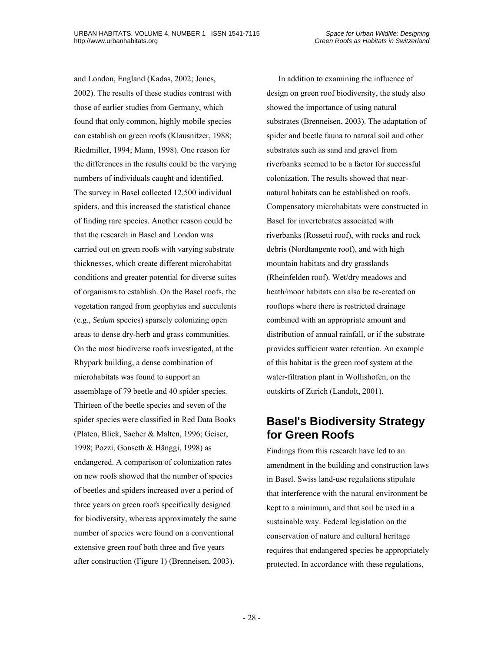and London, England (Kadas, 2002; Jones, 2002). The results of these studies contrast with those of earlier studies from Germany, which found that only common, highly mobile species can establish on green roofs (Klausnitzer, 1988; Riedmiller, 1994; Mann, 1998). One reason for the differences in the results could be the varying numbers of individuals caught and identified. The survey in Basel collected 12,500 individual spiders, and this increased the statistical chance of finding rare species. Another reason could be that the research in Basel and London was carried out on green roofs with varying substrate thicknesses, which create different microhabitat conditions and greater potential for diverse suites of organisms to establish. On the Basel roofs, the vegetation ranged from geophytes and succulents (e.g., *Sedum* species) sparsely colonizing open areas to dense dry-herb and grass communities. On the most biodiverse roofs investigated, at the Rhypark building, a dense combination of microhabitats was found to support an assemblage of 79 beetle and 40 spider species. Thirteen of the beetle species and seven of the spider species were classified in Red Data Books (Platen, Blick, Sacher & Malten, 1996; Geiser, 1998; Pozzi, Gonseth & Hänggi, 1998) as endangered. A comparison of colonization rates on new roofs showed that the number of species of beetles and spiders increased over a period of three years on green roofs specifically designed for biodiversity, whereas approximately the same number of species were found on a conventional extensive green roof both three and five years after construction (Figure 1) (Brenneisen, 2003).

In addition to examining the influence of design on green roof biodiversity, the study also showed the importance of using natural substrates (Brenneisen, 2003). The adaptation of spider and beetle fauna to natural soil and other substrates such as sand and gravel from riverbanks seemed to be a factor for successful colonization. The results showed that nearnatural habitats can be established on roofs. Compensatory microhabitats were constructed in Basel for invertebrates associated with riverbanks (Rossetti roof), with rocks and rock debris (Nordtangente roof), and with high mountain habitats and dry grasslands (Rheinfelden roof). Wet/dry meadows and heath/moor habitats can also be re-created on rooftops where there is restricted drainage combined with an appropriate amount and distribution of annual rainfall, or if the substrate provides sufficient water retention. An example of this habitat is the green roof system at the water-filtration plant in Wollishofen, on the outskirts of Zurich (Landolt, 2001).

#### **Basel's Biodiversity Strategy for Green Roofs**

Findings from this research have led to an amendment in the building and construction laws in Basel. Swiss land-use regulations stipulate that interference with the natural environment be kept to a minimum, and that soil be used in a sustainable way. Federal legislation on the conservation of nature and cultural heritage requires that endangered species be appropriately protected. In accordance with these regulations,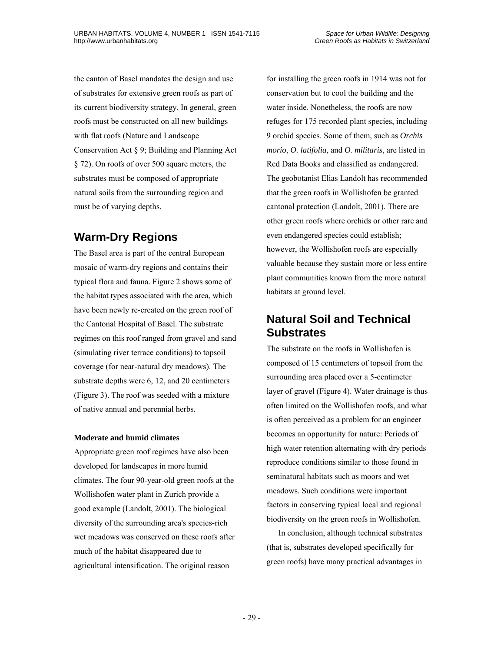the canton of Basel mandates the design and use of substrates for extensive green roofs as part of its current biodiversity strategy. In general, green roofs must be constructed on all new buildings with flat roofs (Nature and Landscape Conservation Act § 9; Building and Planning Act § 72). On roofs of over 500 square meters, the substrates must be composed of appropriate natural soils from the surrounding region and must be of varying depths.

# **Warm-Dry Regions**

The Basel area is part of the central European mosaic of warm-dry regions and contains their typical flora and fauna. Figure 2 shows some of the habitat types associated with the area, which have been newly re-created on the green roof of the Cantonal Hospital of Basel. The substrate regimes on this roof ranged from gravel and sand (simulating river terrace conditions) to topsoil coverage (for near-natural dry meadows). The substrate depths were 6, 12, and 20 centimeters (Figure 3). The roof was seeded with a mixture of native annual and perennial herbs.

#### **Moderate and humid climates**

Appropriate green roof regimes have also been developed for landscapes in more humid climates. The four 90-year-old green roofs at the Wollishofen water plant in Zurich provide a good example (Landolt, 2001). The biological diversity of the surrounding area's species-rich wet meadows was conserved on these roofs after much of the habitat disappeared due to agricultural intensification. The original reason

for installing the green roofs in 1914 was not for conservation but to cool the building and the water inside. Nonetheless, the roofs are now refuges for 175 recorded plant species, including 9 orchid species. Some of them, such as *Orchis morio*, *O. latifolia*, and *O. militaris*, are listed in Red Data Books and classified as endangered. The geobotanist Elias Landolt has recommended that the green roofs in Wollishofen be granted cantonal protection (Landolt, 2001). There are other green roofs where orchids or other rare and even endangered species could establish; however, the Wollishofen roofs are especially valuable because they sustain more or less entire plant communities known from the more natural habitats at ground level.

#### **Natural Soil and Technical Substrates**

The substrate on the roofs in Wollishofen is composed of 15 centimeters of topsoil from the surrounding area placed over a 5-centimeter layer of gravel (Figure 4). Water drainage is thus often limited on the Wollishofen roofs, and what is often perceived as a problem for an engineer becomes an opportunity for nature: Periods of high water retention alternating with dry periods reproduce conditions similar to those found in seminatural habitats such as moors and wet meadows. Such conditions were important factors in conserving typical local and regional biodiversity on the green roofs in Wollishofen.

In conclusion, although technical substrates (that is, substrates developed specifically for green roofs) have many practical advantages in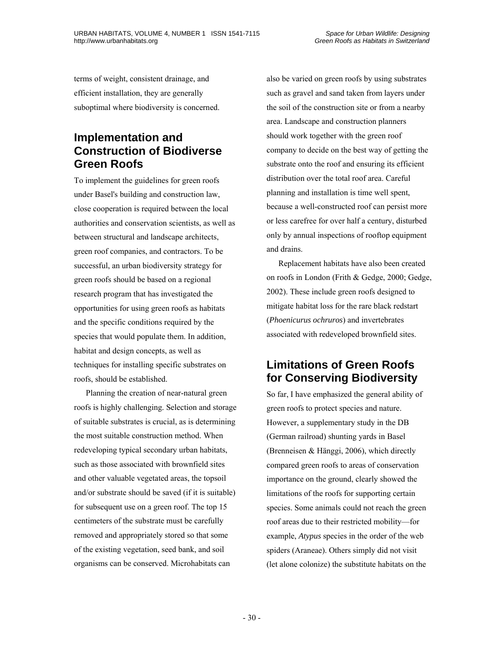terms of weight, consistent drainage, and efficient installation, they are generally suboptimal where biodiversity is concerned.

### **Implementation and Construction of Biodiverse Green Roofs**

To implement the guidelines for green roofs under Basel's building and construction law, close cooperation is required between the local authorities and conservation scientists, as well as between structural and landscape architects, green roof companies, and contractors. To be successful, an urban biodiversity strategy for green roofs should be based on a regional research program that has investigated the opportunities for using green roofs as habitats and the specific conditions required by the species that would populate them. In addition, habitat and design concepts, as well as techniques for installing specific substrates on roofs, should be established.

Planning the creation of near-natural green roofs is highly challenging. Selection and storage of suitable substrates is crucial, as is determining the most suitable construction method. When redeveloping typical secondary urban habitats, such as those associated with brownfield sites and other valuable vegetated areas, the topsoil and/or substrate should be saved (if it is suitable) for subsequent use on a green roof. The top 15 centimeters of the substrate must be carefully removed and appropriately stored so that some of the existing vegetation, seed bank, and soil organisms can be conserved. Microhabitats can

also be varied on green roofs by using substrates such as gravel and sand taken from layers under the soil of the construction site or from a nearby area. Landscape and construction planners should work together with the green roof company to decide on the best way of getting the substrate onto the roof and ensuring its efficient distribution over the total roof area. Careful planning and installation is time well spent, because a well-constructed roof can persist more or less carefree for over half a century, disturbed only by annual inspections of rooftop equipment and drains.

Replacement habitats have also been created on roofs in London (Frith & Gedge, 2000; Gedge, 2002). These include green roofs designed to mitigate habitat loss for the rare black redstart (*Phoenicurus ochruros*) and invertebrates associated with redeveloped brownfield sites.

#### **Limitations of Green Roofs for Conserving Biodiversity**

So far, I have emphasized the general ability of green roofs to protect species and nature. However, a supplementary study in the DB (German railroad) shunting yards in Basel (Brenneisen & Hänggi, 2006), which directly compared green roofs to areas of conservation importance on the ground, clearly showed the limitations of the roofs for supporting certain species. Some animals could not reach the green roof areas due to their restricted mobility—for example, *Atypus* species in the order of the web spiders (Araneae). Others simply did not visit (let alone colonize) the substitute habitats on the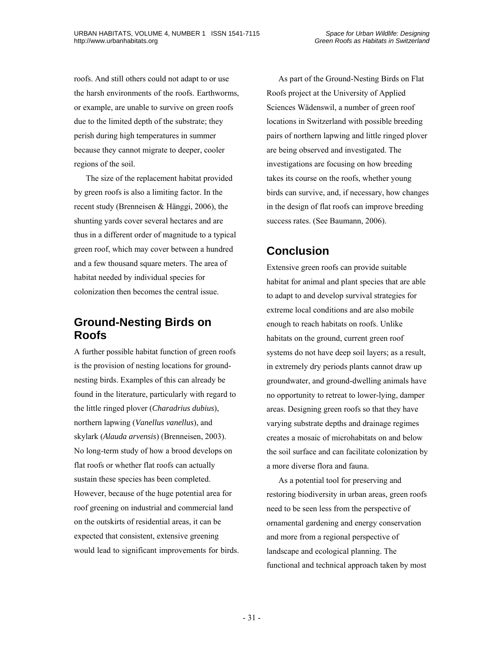roofs. And still others could not adapt to or use the harsh environments of the roofs. Earthworms, or example, are unable to survive on green roofs due to the limited depth of the substrate; they perish during high temperatures in summer because they cannot migrate to deeper, cooler regions of the soil.

The size of the replacement habitat provided by green roofs is also a limiting factor. In the recent study (Brenneisen & Hänggi, 2006), the shunting yards cover several hectares and are thus in a different order of magnitude to a typical green roof, which may cover between a hundred and a few thousand square meters. The area of habitat needed by individual species for colonization then becomes the central issue.

#### **Ground-Nesting Birds on Roofs**

A further possible habitat function of green roofs is the provision of nesting locations for groundnesting birds. Examples of this can already be found in the literature, particularly with regard to the little ringed plover (*Charadrius dubius*), northern lapwing (*Vanellus vanellus*), and skylark (*Alauda arvensis*) (Brenneisen, 2003). No long-term study of how a brood develops on flat roofs or whether flat roofs can actually sustain these species has been completed. However, because of the huge potential area for roof greening on industrial and commercial land on the outskirts of residential areas, it can be expected that consistent, extensive greening would lead to significant improvements for birds.

As part of the Ground-Nesting Birds on Flat Roofs project at the University of Applied Sciences Wädenswil, a number of green roof locations in Switzerland with possible breeding pairs of northern lapwing and little ringed plover are being observed and investigated. The investigations are focusing on how breeding takes its course on the roofs, whether young birds can survive, and, if necessary, how changes in the design of flat roofs can improve breeding success rates. (See Baumann, 2006).

# **Conclusion**

Extensive green roofs can provide suitable habitat for animal and plant species that are able to adapt to and develop survival strategies for extreme local conditions and are also mobile enough to reach habitats on roofs. Unlike habitats on the ground, current green roof systems do not have deep soil layers; as a result, in extremely dry periods plants cannot draw up groundwater, and ground-dwelling animals have no opportunity to retreat to lower-lying, damper areas. Designing green roofs so that they have varying substrate depths and drainage regimes creates a mosaic of microhabitats on and below the soil surface and can facilitate colonization by a more diverse flora and fauna.

As a potential tool for preserving and restoring biodiversity in urban areas, green roofs need to be seen less from the perspective of ornamental gardening and energy conservation and more from a regional perspective of landscape and ecological planning. The functional and technical approach taken by most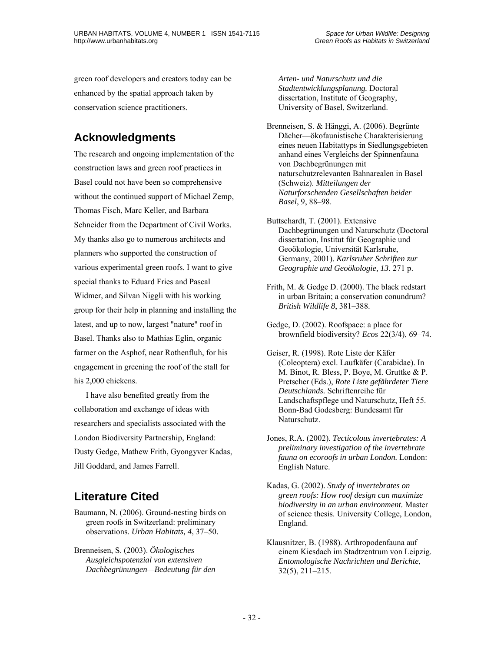green roof developers and creators today can be enhanced by the spatial approach taken by conservation science practitioners.

# **Acknowledgments**

The research and ongoing implementation of the construction laws and green roof practices in Basel could not have been so comprehensive without the continued support of Michael Zemp, Thomas Fisch, Marc Keller, and Barbara Schneider from the Department of Civil Works. My thanks also go to numerous architects and planners who supported the construction of various experimental green roofs. I want to give special thanks to Eduard Fries and Pascal Widmer, and Silvan Niggli with his working group for their help in planning and installing the latest, and up to now, largest "nature" roof in Basel. Thanks also to Mathias Eglin, organic farmer on the Asphof, near Rothenfluh, for his engagement in greening the roof of the stall for his 2,000 chickens.

I have also benefited greatly from the collaboration and exchange of ideas with researchers and specialists associated with the London Biodiversity Partnership, England: Dusty Gedge, Mathew Frith, Gyongyver Kadas, Jill Goddard, and James Farrell.

# **Literature Cited**

Baumann, N. (2006). Ground-nesting birds on green roofs in Switzerland: preliminary observations. *Urban Habitats, 4*, 37–50.

Brenneisen, S. (2003). *Ökologisches Ausgleichspotenzial von extensiven Dachbegrünungen—Bedeutung für den*  *Arten- und Naturschutz und die Stadtentwicklungsplanung.* Doctoral dissertation, Institute of Geography, University of Basel, Switzerland.

Brenneisen, S. & Hänggi, A. (2006). Begrünte Dächer—ökofaunistische Charakterisierung eines neuen Habitattyps in Siedlungsgebieten anhand eines Vergleichs der Spinnenfauna von Dachbegrünungen mit naturschutzrelevanten Bahnarealen in Basel (Schweiz). *Mitteilungen der Naturforschenden Gesellschaften beider Basel*, 9, 88–98.

Buttschardt, T. (2001). Extensive Dachbegrünungen und Naturschutz (Doctoral dissertation, Institut für Geographie und Geoökologie, Universität Karlsruhe, Germany, 2001). *Karlsruher Schriften zur Geographie und Geoökologie, 13*. 271 p.

- Frith, M. & Gedge D. (2000). The black redstart in urban Britain; a conservation conundrum? *British Wildlife 8*, 381–388.
- Gedge, D. (2002). Roofspace: a place for brownfield biodiversity? *Ecos* 22(3/4), 69–74.
- Geiser, R. (1998). Rote Liste der Käfer (Coleoptera) excl. Laufkäfer (Carabidae). In M. Binot, R. Bless, P. Boye, M. Gruttke & P. Pretscher (Eds.), *Rote Liste gefährdeter Tiere Deutschlands.* Schriftenreihe für Landschaftspflege und Naturschutz, Heft 55. Bonn-Bad Godesberg: Bundesamt für Naturschutz.
- Jones, R.A. (2002). *Tecticolous invertebrates: A preliminary investigation of the invertebrate fauna on ecoroofs in urban London.* London: English Nature.
- Kadas, G. (2002). *Study of invertebrates on green roofs: How roof design can maximize biodiversity in an urban environment.* Master of science thesis. University College, London, England.
- Klausnitzer, B. (1988). Arthropodenfauna auf einem Kiesdach im Stadtzentrum von Leipzig. *Entomologische Nachrichten und Berichte*, 32(5), 211–215.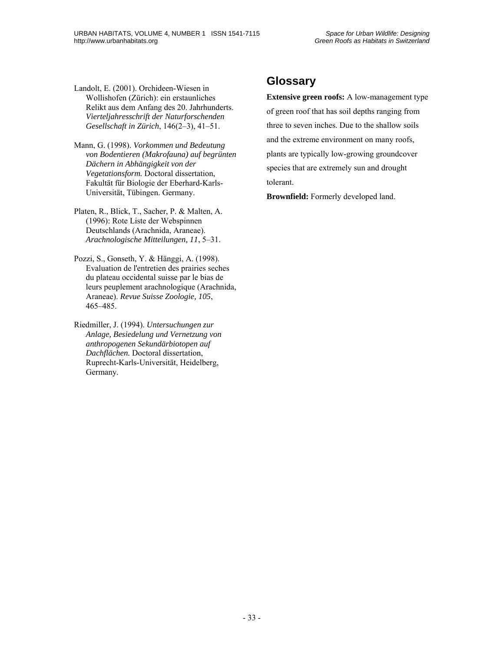Landolt, E. (2001). Orchideen-Wiesen in Wollishofen (Zürich): ein erstaunliches Relikt aus dem Anfang des 20. Jahrhunderts. *Vierteljahresschrift der Naturforschenden Gesellschaft in Zürich*, 146(2–3), 41–51.

Mann, G. (1998). *Vorkommen und Bedeutung von Bodentieren (Makrofauna) auf begrünten Dächern in Abhängigkeit von der Vegetationsform.* Doctoral dissertation, Fakultät für Biologie der Eberhard-Karls-Universität, Tübingen. Germany.

Platen, R., Blick, T., Sacher, P. & Malten, A. (1996): Rote Liste der Webspinnen Deutschlands (Arachnida, Araneae). *Arachnologische Mitteilungen, 11*, 5–31.

- Pozzi, S., Gonseth, Y. & Hänggi, A. (1998). Evaluation de l'entretien des prairies seches du plateau occidental suisse par le bias de leurs peuplement arachnologique (Arachnida, Araneae). *Revue Suisse Zoologie, 105*, 465–485.
- Riedmiller, J. (1994). *Untersuchungen zur Anlage, Besiedelung und Vernetzung von anthropogenen Sekundärbiotopen auf Dachflächen.* Doctoral dissertation, Ruprecht-Karls-Universität, Heidelberg, Germany.

# **Glossary**

**Extensive green roofs:** A low-management type of green roof that has soil depths ranging from three to seven inches. Due to the shallow soils and the extreme environment on many roofs, plants are typically low-growing groundcover species that are extremely sun and drought tolerant.

**Brownfield:** Formerly developed land.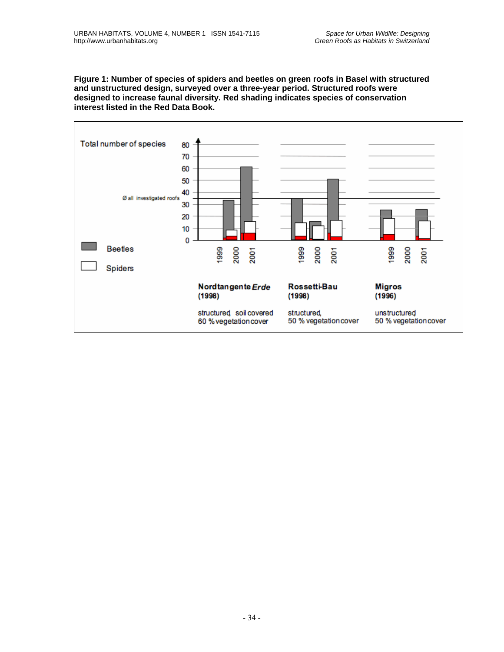**Figure 1: Number of species of spiders and beetles on green roofs in Basel with structured and unstructured design, surveyed over a three-year period. Structured roofs were designed to increase faunal diversity. Red shading indicates species of conservation interest listed in the Red Data Book.** 

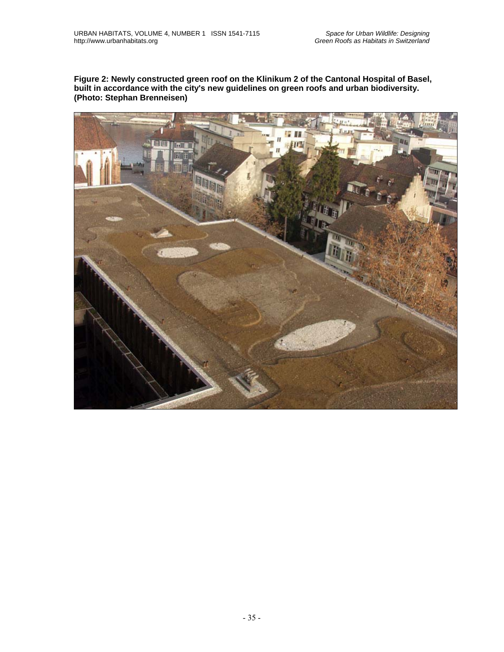**Figure 2: Newly constructed green roof on the Klinikum 2 of the Cantonal Hospital of Basel, built in accordance with the city's new guidelines on green roofs and urban biodiversity. (Photo: Stephan Brenneisen)**